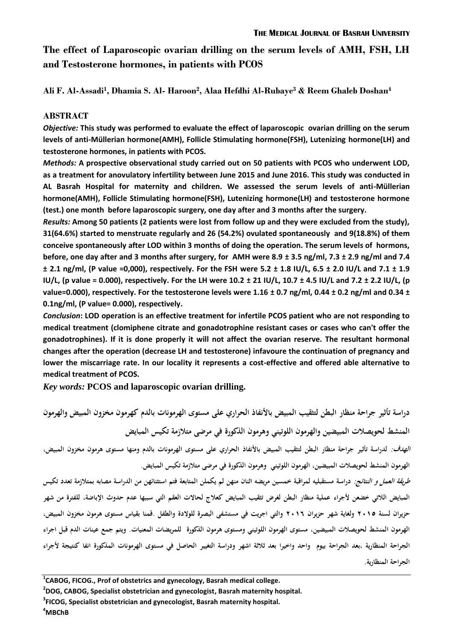# **The effect of Laparoscopic ovarian drilling on the serum levels of AMH, FSH, LH and Testosterone hormones, in patients with PCOS**

**Ali F. Al-Assadi<sup>1</sup> , Dhamia S. Al- Haroon<sup>2</sup> , Alaa Hefdhi Al-Rubaye<sup>3</sup> & Reem Ghaleb Doshan<sup>4</sup>**

### **ABSTRACT**

*Objective:* **This study was performed to evaluate the effect of laparoscopic ovarian drilling on the serum levels of anti-Müllerian hormone(AMH), Follicle Stimulating hormone(FSH), Lutenizing hormone(LH) and testosterone hormones, in patients with PCOS.** 

*Methods:* **A prospective observational study carried out on 50 patients with PCOS who underwent LOD, as a treatment for anovulatory infertility between June 2015 and June 2016. This study was conducted in AL Basrah Hospital for maternity and children. We assessed the serum levels of anti-Müllerian hormone(AMH), Follicle Stimulating hormone(FSH), Lutenizing hormone(LH) and testosterone hormone (test.) one month before laparoscopic surgery, one day after and 3 months after the surgery.** 

*Results:* **Among 50 patients (2 patients were lost from follow up and they were excluded from the study), 31(64.6%) started to menstruate regularly and 26 (54.2%) ovulated spontaneously and 9(18.8%) of them conceive spontaneously after LOD within 3 months of doing the operation. The serum levels of hormons, before, one day after and 3 months after surgery, for AMH were 8.9 ± 3.5 ng/ml, 7.3 ± 2.9 ng/ml and 7.4 ± 2.1 ng/ml, (P value =0,000), respectively. For the FSH were 5.2 ± 1.8 IU/L, 6.5 ± 2.0 IU/L and 7.1 ± 1.9 IU/L, (p value = 0.000), respectively. For the LH were 10.2 ± 21 IU/L, 10.7 ± 4.5 IU/L and 7.2 ± 2.2 IU/L, (p value=0.000), respectively. For the testosterone levels were 1.16 ± 0.7 ng/ml, 0.44 ± 0.2 ng/ml and 0.34 ± 0.1ng/ml, (P value= 0.000), respectively.** 

*Conclusion***: LOD operation is an effective treatment for infertile PCOS patient who are not responding to medical treatment (clomiphene citrate and gonadotrophine resistant cases or cases who can't offer the gonadotrophines). If it is done properly it will not affect the ovarian reserve. The resultant hormonal changes after the operation (decrease LH and testosterone) infavoure the continuation of pregnancy and lower the miscarriage rate. In our locality it represents a cost-effective and offered able alternative to medical treatment of PCOS.**

*Key words:* **PCOS and laparoscopic ovarian drilling.** 

**دراسة تأثير جراحة منظار البطن لتثقيب المبيض باألنفاذ الحراري على مستوى الهرمونات بالدم كهرمون مخزون المبيض والهرمون المنشط لحويصالت المبيضين والهرمون اللوتيني وىرمون الذكورة في مرضى متالزمة تكيس المبايض الهدف: لدراسة تأثير جراحة منظار البطن لتثقيب المبيض باألنفاذ الحراري على مستوى الهرمونات بالدم ومنها مستوى ىرمون مخزون المبيض، الهرمون المنشط لحويصالت المبيضين، الهرمون اللوتيني وىرمون الذكورة في مرضى متالزمة تكيس المبايض.**  طر*يقة العمل و النتائج:* دراسة مستقبليه لمراقبة خمسين مريضه اثنان منهن لم يكملن المتابعة فتم استثنائهن من الدراسة مصابه بمتلازمة تعدد تكيس **المبايض الالتي خضعن ألجراء عملية منظار البطن لغرض تثقيب المبايض كعالج لحاالت العقم التي سببها عدم حدوث اإلباضة، للفترة من شهر حزيران لسنة 5102 ولغاية شهر حزيران 5102 والتي اجريت في مستشفى البصرة للوالدة والطفل .قمنا بقياس مستوى ىرمون مخزون المبيض، الهرمون المنشط لحويصالت المبيضين، مستوى الهرمون اللوتيني ومستوى ىرمون الذكورة للمريضات المعنيات. ويتم جمع عينات الدم قبل اجراء الجراحة المنظارية ،بعد الجراحة بيوم واحد واخيرا بعد ثالثة اشهر ودراسة التغيير الحاصل في مستوى الهرمونات المذكورة انفا كنتيجة ألجراء الجراحة المنظارية.** 

**<sup>1</sup> CABOG, FICOG., Prof of obstetrics and gynecology, Basrah medical college.** 

**<sup>2</sup> DOG, CABOG, Specialist obstetrician and gynecologist, Basrah maternity hospital.** 

**<sup>3</sup> FICOG, Specialist obstetrician and gynecologist, Basrah maternity hospital.**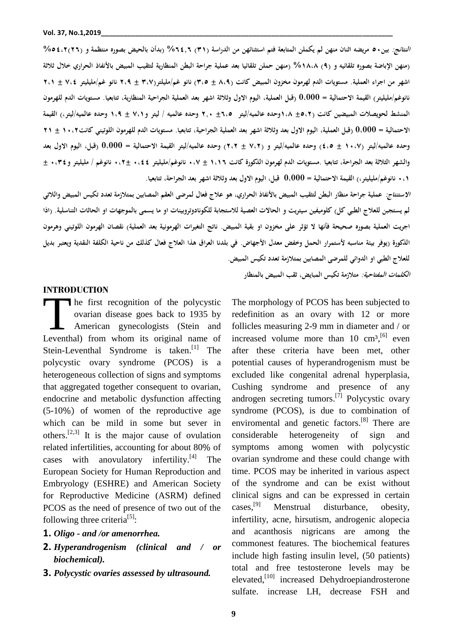**النتائج: بين21 مريضو اثنان منهن لم يكملن المتابعة فتم استثنائهن من الدراسة )10( %2,42 )بدأن بالحيض بصوره منتظمة و )52(%2,،5 )منهن اإلباضة بصوره تلقائيو و )5( %04،4 )منهن حملن تلقائيا بعد عملية جراحة البطن المنظارية لتثقيب المبيض باألنفاذ الحراري خالل ثالثة اشهر من اجراء العملية. مستويات الدم لهرمون مخزون المبيض كانت )4،5 ± 1،2( نانو غم/مليلتر)1،3 ± 5،5 نانو غم/مليليتر 3،, ± 5،0 نانوغم/مليليتر( القيمة االحتمالية = 0،000 )قبل العملية، اليوم االول وثالثة اشهر بعد العملية الجراحية المنظارية، تتابعيا. مستويات الدم للهرمون المنشط لحويصالت المبيضين كانت )±2،5 0،4وحده عالميو/ليتر ±2،2 541 وحده عالميو / ليتر و3،0 ± 0،5 وحده عالميو/ليتر،( القيمة االحتمالية = 0،000 )قبل العملية، اليوم االول بعد وثالثة اشهر بعد العملية الجراحية، تتابعيا. مستويات الدم للهرمون اللوتيني كانت01،5 ± 50 وحده عالميو/ليتر )01،3 ± ,،2( وحده عالميو/ليتر و )3،5 ± 5،5( وحده عالميو/ليتر القيمة االحتمالية = 0،000 )قبل، اليوم االول بعد**  والشهر الثلاثة بعد الجراحة، تتابعيا .مستويات الدم لهرمون الذكورة كانت ١،١٦ ± ٧، • نانوغم/مليليتر ٤٤، • ±٢ ، • نانوغم / مليليتر و٢٤، • ± **1،0 نانوغم/مليليتر،( القيمة االحتمالية = 0،000 قبل، اليوم االول بعد وثالثة اشهر بعد الجراحة، تتابعيا.** 

**االستنتاج: عملية جراحة منظار البطن لتثقيب المبيض باألنفاذ الحراري، ىو عالج فعال لمرضى العقم المصابين بمتالزمة تعدد تكيس المبيض والالتي لم يستجبن للعالج الطبي كل( كلوميفين سيتريت و الحاالت العصية لالستجابة للكونادوتروبينات او ما يسمى بالموجهات او الحاثات التناسلية. )اذا اجريت العملية بصوره صحيحة فأنها ال تؤثر على مخزون او بقية المبيض. ناتج التغيرات الهرمونية بعد العملية( نقصان الهرمون اللوتيني وىرمون الذكور ة )يوفر بيئة مناسبو ألستمرار الحمل وخفض معدل األجهاض. في بلدنا العراق ىذا العالج فعال كذلك من ناحية الكلفة النقدية ويعتبر بديل للعالج الطبي او الدوائي للمرضى المصابين بمتالزمة تعدد تكيس المبيض. الكلمات المفتاحية: متالزمة تكيس المبايض، ثقب المبيض بالمنظار**

#### **INTRODUCTION**

he first recognition of the polycystic ovarian disease goes back to 1935 by American gynecologists (Stein and The first recognition of the polycystic<br>
ovarian disease goes back to 1935 by<br>
American gynecologists (Stein and<br>
Leventhal) from whom its original name of Stein-Leventhal Syndrome is taken.<sup>[1]</sup> The polycystic ovary syndrome (PCOS) is a heterogeneous collection of signs and symptoms that aggregated together consequent to ovarian, endocrine and metabolic dysfunction affecting (5-10%) of women of the reproductive age which can be mild in some but sever in others.<sup>[2,3]</sup> It is the major cause of ovulation related infertilities, accounting for about 80% of cases with anovulatory infertility.<sup>[4]</sup> The European Society for Human Reproduction and Embryology (ESHRE) and American Society for Reproductive Medicine (ASRM) defined PCOS as the need of presence of two out of the following three criteria<sup>[5]</sup>:

- **1.** *Oligo - and /or amenorrhea.*
- **2.** *Hyperandrogenism (clinical and / or biochemical).*
- **3.** *Polycystic ovaries assessed by ultrasound.*

The morphology of PCOS has been subjected to redefinition as an ovary with 12 or more follicles measuring 2-9 mm in diameter and / or increased volume more than 10  $\text{cm}^{3}$ ,  $\text{F}^{6}$  even after these criteria have been met, other potential causes of hyperandrogenism must be excluded like congenital adrenal hyperplasia, Cushing syndrome and presence of any androgen secreting tumors.<sup>[7]</sup> Polycystic ovary syndrome (PCOS), is due to combination of enviromental and genetic factors.<sup>[8]</sup> There are considerable heterogeneity of sign and symptoms among women with polycystic ovarian syndrome and these could change with time. PCOS may be inherited in various aspect of the syndrome and can be exist without clinical signs and can be expressed in certain cases,<sup>[9]</sup> Menstrual disturbance, obesity, infertility, acne, hirsutism, androgenic alopecia and acanthosis nigricans are among the commonest features. The biochemical features include high fasting insulin level, (50 patients) total and free testosterone levels may be elevated,<sup>[10]</sup> increased Dehydroepiandrosterone sulfate. increase LH, decrease FSH and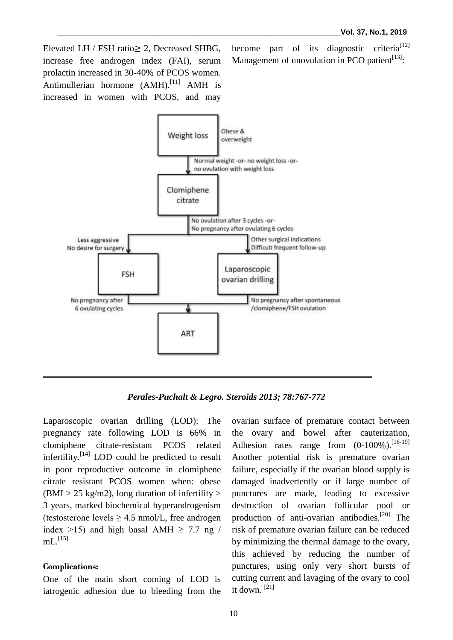Elevated LH / FSH ratio≥ 2, Decreased SHBG, increase free androgen index (FAI), serum prolactin increased in 30-40% of PCOS women. Antimullerian hormone (AMH).<sup>[11]</sup> AMH is increased in women with PCOS, and may

become part of its diagnostic criteria<sup>[12]</sup> Management of unovulation in PCO patient $^{[13]}$ :



*Perales-Puchalt & Legro. Steroids 2013; 78:767-772*

Laparoscopic ovarian drilling (LOD): The pregnancy rate following LOD is 66% in clomiphene citrate-resistant PCOS related infertility.<sup>[14]</sup> LOD could be predicted to result in poor reproductive outcome in clomiphene citrate resistant PCOS women when: obese  $(BMI > 25 \text{ kg/m2})$ , long duration of infertility  $>$ 3 years, marked biochemical hyperandrogenism (testosterone levels  $\geq$  4.5 nmol/L, free androgen index >15) and high basal AMH  $\geq$  7.7 ng /  $mL^{[15]}$ 

### **Complications:**

One of the main short coming of LOD is iatrogenic adhesion due to bleeding from the ovarian surface of premature contact between the ovary and bowel after cauterization, Adhesion rates range from  $(0-100\%)$ . [16-19] Another potential risk is premature ovarian failure, especially if the ovarian blood supply is damaged inadvertently or if large number of punctures are made, leading to excessive destruction of ovarian follicular pool or production of anti-ovarian antibodies.<sup>[20]</sup> The risk of premature ovarian failure can be reduced by minimizing the thermal damage to the ovary, this achieved by reducing the number of punctures, using only very short bursts of cutting current and lavaging of the ovary to cool it down. [21]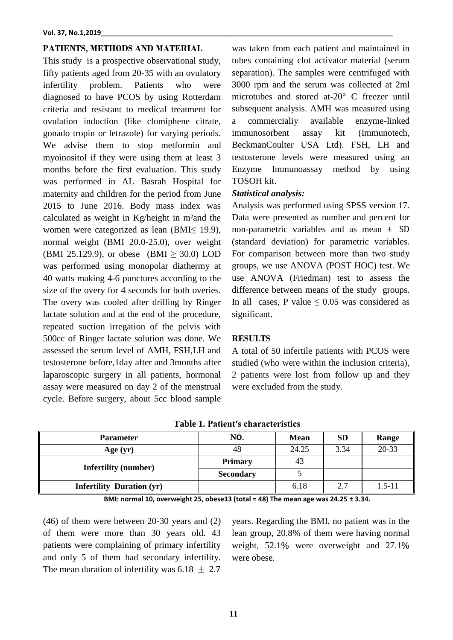#### **PATIENTS, METHODS AND MATERIAL**

This study is a prospective observational study, fifty patients aged from 20-35 with an ovulatory infertility problem. Patients who were diagnosed to have PCOS by using Rotterdam criteria and resistant to medical treatment for ovulation induction (like clomiphene citrate, gonado tropin or letrazole) for varying periods. We advise them to stop metformin and myoinositol if they were using them at least 3 months before the first evaluation. This study was performed in AL Basrah Hospital for maternity and children for the period from June 2015 to June 2016. Body mass index was calculated as weight in Kg/height in m²and the women were categorized as lean (BMI≤ 19.9), normal weight (BMI 20.0-25.0), over weight (BMI 25.129.9), or obese (BMI ≥ 30.0) LOD was performed using monopolar diathermy at 40 watts making 4-6 punctures according to the size of the overy for 4 seconds for both overies. The overy was cooled after drilling by Ringer lactate solution and at the end of the procedure, repeated suction irregation of the pelvis with 500cc of Ringer lactate solution was done. We assessed the serum level of AMH, FSH,LH and testosterone before,1day after and 3months after laparoscopic surgery in all patients, hormonal assay were measured on day 2 of the menstrual cycle. Before surgery, about 5cc blood sample

was taken from each patient and maintained in tubes containing clot activator material (serum separation). The samples were centrifuged with 3000 rpm and the serum was collected at 2ml microtubes and stored at-20° C freezer until subsequent analysis. AMH was measured using a commercialiy available enzyme-linked immunosorbent assay kit (Immunotech, BeckmanCoulter USA Ltd). FSH, LH and testosterone levels were measured using an Enzyme Immunoassay method by using TOSOH kit.

#### *Statistical analysis:*

Analysis was performed using SPSS version 17. Data were presented as number and percent for non-parametric variables and as mean  $\pm$  SD (standard deviation) for parametric variables. For comparison between more than two study groups, we use ANOVA (POST HOC) test. We use ANOVA (Friedman) test to assess the difference between means of the study groups. In all cases, P value  $\leq 0.05$  was considered as significant.

#### **RESULTS**

A total of 50 infertile patients with PCOS were studied (who were within the inclusion criteria), 2 patients were lost from follow up and they were excluded from the study.

| <b>Parameter</b>                 | NO.              | <b>Mean</b> | <b>SD</b> | Range      |
|----------------------------------|------------------|-------------|-----------|------------|
| Age $(yr)$                       | 48               | 24.25       | 3.34      | 20-33      |
| <b>Infertility (number)</b>      | <b>Primary</b>   | 43          |           |            |
|                                  | <b>Secondary</b> |             |           |            |
| <b>Infertility Duration (yr)</b> |                  | 6.18        | 2.7       | $1.5 - 11$ |

**Table 1. Patient′s characteristics**

**BMI: normal 10, overweight 25, obese13 (total = 48) The mean age was 24.25 ± 3.34.** 

(46) of them were between 20-30 years and (2) of them were more than 30 years old. 43 patients were complaining of primary infertility and only 5 of them had secondary infertility. The mean duration of infertility was  $6.18 \pm 2.7$ 

years. Regarding the BMI, no patient was in the lean group, 20.8% of them were having normal weight, 52.1% were overweight and 27.1% were obese.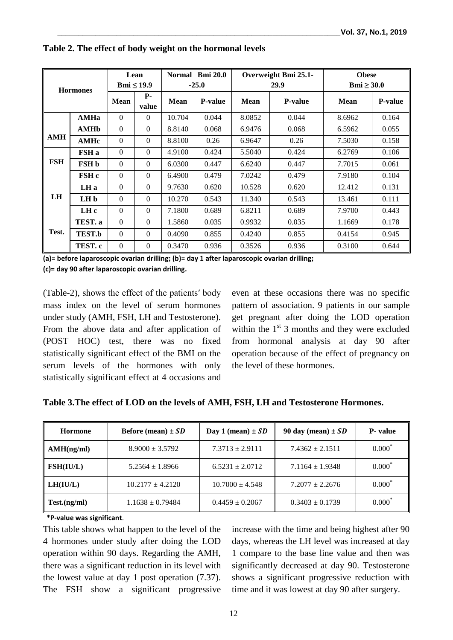| <b>Hormones</b> |               | Lean            |                     | <b>Bmi 20.0</b><br><b>Normal</b> |                | Overweight Bmi 25.1- |                | <b>Obese</b>    |                |
|-----------------|---------------|-----------------|---------------------|----------------------------------|----------------|----------------------|----------------|-----------------|----------------|
|                 |               | Bmi $\leq 19.9$ |                     | $-25.0$                          |                | 29.9                 |                | Bmi $\geq 30.0$ |                |
|                 |               | <b>Mean</b>     | <b>P</b> -<br>value | Mean                             | <b>P-value</b> | Mean                 | <b>P-value</b> | <b>Mean</b>     | <b>P-value</b> |
|                 | <b>AMHa</b>   | $\overline{0}$  | $\overline{0}$      | 10.704                           | 0.044          | 8.0852               | 0.044          | 8.6962          | 0.164          |
|                 | AMHb          | $\Omega$        | $\Omega$            | 8.8140                           | 0.068          | 6.9476               | 0.068          | 6.5962          | 0.055          |
| <b>AMH</b>      | <b>AMHc</b>   | $\theta$        | $\Omega$            | 8.8100                           | 0.26           | 6.9647               | 0.26           | 7.5030          | 0.158          |
|                 | FSH a         | $\Omega$        | $\overline{0}$      | 4.9100                           | 0.424          | 5.5040               | 0.424          | 6.2769          | 0.106          |
| <b>FSH</b>      | <b>FSH</b> b  | $\Omega$        | $\Omega$            | 6.0300                           | 0.447          | 6.6240               | 0.447          | 7.7015          | 0.061          |
|                 | FSH c         | $\Omega$        | $\Omega$            | 6.4900                           | 0.479          | 7.0242               | 0.479          | 7.9180          | 0.104          |
|                 | LH a          | $\Omega$        | $\overline{0}$      | 9.7630                           | 0.620          | 10.528               | 0.620          | 12.412          | 0.131          |
| <b>LH</b>       | LH b          | $\Omega$        | $\Omega$            | 10.270                           | 0.543          | 11.340               | 0.543          | 13.461          | 0.111          |
|                 | LH c          | $\theta$        | $\Omega$            | 7.1800                           | 0.689          | 6.8211               | 0.689          | 7.9700          | 0.443          |
| Test.           | TEST. a       | $\Omega$        | $\theta$            | 1.5860                           | 0.035          | 0.9932               | 0.035          | 1.1669          | 0.178          |
|                 | <b>TEST.b</b> | $\Omega$        | $\Omega$            | 0.4090                           | 0.855          | 0.4240               | 0.855          | 0.4154          | 0.945          |
|                 | TEST. c       | $\Omega$        | $\mathbf{0}$        | 0.3470                           | 0.936          | 0.3526               | 0.936          | 0.3100          | 0.644          |

**Table 2. The effect of body weight on the hormonal levels**

**(a)= before laparoscopic ovarian drilling; (b)= day 1 after laparoscopic ovarian drilling;** 

**(c)= day 90 after laparoscopic ovarian drilling.**

(Table-2), shows the effect of the patients′ body mass index on the level of serum hormones under study (AMH, FSH, LH and Testosterone). From the above data and after application of (POST HOC) test, there was no fixed statistically significant effect of the BMI on the serum levels of the hormones with only statistically significant effect at 4 occasions and even at these occasions there was no specific pattern of association. 9 patients in our sample get pregnant after doing the LOD operation within the  $1<sup>st</sup>$  3 months and they were excluded from hormonal analysis at day 90 after operation because of the effect of pregnancy on the level of these hormones.

| Hormone          | Before (mean) $\pm SD$ | Day 1 (mean) $\pm SD$ | 90 day (mean) $\pm SD$ | <b>P</b> - value  |
|------------------|------------------------|-----------------------|------------------------|-------------------|
| AMH(ng/ml)       | $8.9000 \pm 3.5792$    | $7.3713 \pm 2.9111$   | $7.4362 \pm 2.1511$    | $0.000*$          |
| <b>FSH(IU/L)</b> | $5.2564 \pm 1.8966$    | $6.5231 \pm 2.0712$   | $7.1164 \pm 1.9348$    | $0.000*$          |
| LH(IU/L)         | $10.2177 \pm 4.2120$   | $10.7000 + 4.548$     | $7.2077 + 2.2676$      | $0.000^*$         |
| Test.(ng/ml)     | $1.1638 \pm 0.79484$   | $0.4459 \pm 0.2067$   | $0.3403 \pm 0.1739$    | $0.000^{\degree}$ |

**Table 3.The effect of LOD on the levels of AMH, FSH, LH and Testosterone Hormones.**

 **\*P***-***value was significant**.

This table shows what happen to the level of the 4 hormones under study after doing the LOD operation within 90 days. Regarding the AMH, there was a significant reduction in its level with the lowest value at day 1 post operation (7.37). The FSH show a significant progressive increase with the time and being highest after 90 days, whereas the LH level was increased at day 1 compare to the base line value and then was significantly decreased at day 90. Testosterone shows a significant progressive reduction with time and it was lowest at day 90 after surgery.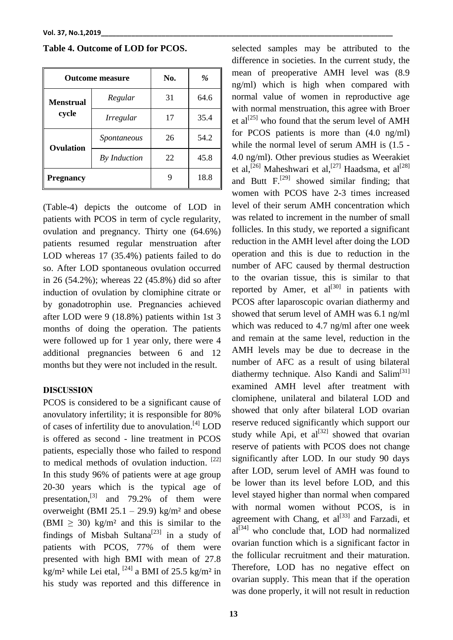|                           | <b>Outcome measure</b> | No. | %    |
|---------------------------|------------------------|-----|------|
| <b>Menstrual</b><br>cycle | Regular                | 31  | 64.6 |
|                           | <i>Irregular</i>       | 17  | 35.4 |
| Ovulation                 | Spontaneous            | 26  | 54.2 |
|                           | By Induction           | 22  | 45.8 |
| <b>Pregnancy</b>          |                        |     | 18.8 |

**Table 4. Outcome of LOD for PCOS.**

(Table-4) depicts the outcome of LOD in patients with PCOS in term of cycle regularity, ovulation and pregnancy. Thirty one (64.6%) patients resumed regular menstruation after LOD whereas 17 (35.4%) patients failed to do so. After LOD spontaneous ovulation occurred in 26 (54.2%); whereas 22 (45.8%) did so after induction of ovulation by clomiphine citrate or by gonadotrophin use. Pregnancies achieved after LOD were 9 (18.8%) patients within 1st 3 months of doing the operation. The patients were followed up for 1 year only, there were 4 additional pregnancies between 6 and 12 months but they were not included in the result.

#### **DISCUSSION**

PCOS is considered to be a significant cause of anovulatory infertility; it is responsible for 80% of cases of infertility due to anovulation.<sup>[4]</sup> LOD is offered as second - line treatment in PCOS patients, especially those who failed to respond to medical methods of ovulation induction. [22] In this study 96% of patients were at age group 20-30 years which is the typical age of presentation, $^{[3]}$  and 79.2% of them were overweight (BMI  $25.1 - 29.9$ ) kg/m<sup>2</sup> and obese  $(BMI > 30)$  kg/m<sup>2</sup> and this is similar to the findings of Misbah Sultana<sup>[23]</sup> in a study of patients with PCOS, 77% of them were presented with high BMI with mean of 27.8 kg/m<sup>2</sup> while Lei etal, <sup>[24]</sup> a BMI of 25.5 kg/m<sup>2</sup> in his study was reported and this difference in

difference in societies. In the current study, the mean of preoperative AMH level was (8.9 ng/ml) which is high when compared with normal value of women in reproductive age with normal menstruation, this agree with Broer et al<sup>[25]</sup> who found that the serum level of AMH for PCOS patients is more than (4.0 ng/ml) while the normal level of serum AMH is (1.5 - 4.0 ng/ml). Other previous studies as Weerakiet et al,<sup>[26]</sup> Maheshwari et al,<sup>[27]</sup> Haadsma, et al<sup>[28]</sup> and Butt  $F<sub>1</sub><sup>[29]</sup>$  showed similar finding; that women with PCOS have 2-3 times increased level of their serum AMH concentration which was related to increment in the number of small follicles. In this study, we reported a significant reduction in the AMH level after doing the LOD operation and this is due to reduction in the number of AFC caused by thermal destruction to the ovarian tissue, this is similar to that reported by Amer, et  $al^{[30]}$  in patients with PCOS after laparoscopic ovarian diathermy and showed that serum level of AMH was 6.1 ng/ml which was reduced to 4.7 ng/ml after one week and remain at the same level, reduction in the AMH levels may be due to decrease in the number of AFC as a result of using bilateral diathermy technique. Also Kandi and Salim<sup>[31]</sup> examined AMH level after treatment with clomiphene, unilateral and bilateral LOD and showed that only after bilateral LOD ovarian reserve reduced significantly which support our study while Api, et al $^{[32]}$  showed that ovarian reserve of patients with PCOS does not change significantly after LOD. In our study 90 days after LOD, serum level of AMH was found to be lower than its level before LOD, and this level stayed higher than normal when compared with normal women without PCOS, is in agreement with Chang, et  $al^{[33]}$  and Farzadi, et  $al^{[34]}$  who conclude that, LOD had normalized ovarian function which is a significant factor in the follicular recruitment and their maturation. Therefore, LOD has no negative effect on ovarian supply. This mean that if the operation was done properly, it will not result in reduction

selected samples may be attributed to the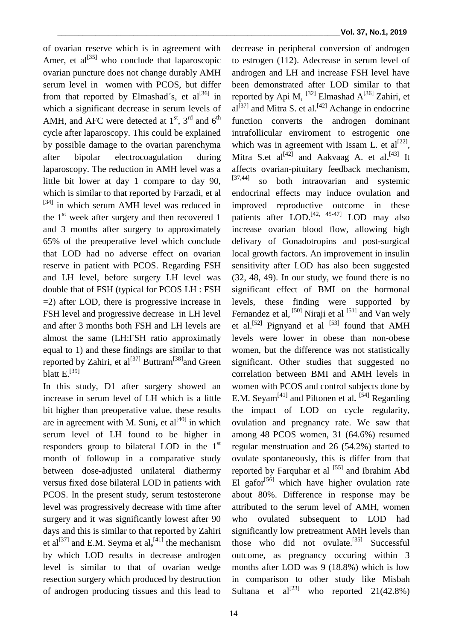decrease in peripheral conversion of androgen to estrogen (112). Adecrease in serum level of androgen and LH and increase FSH level have been demonstrated after LOD similar to that reported by Api M,  $^{[32]}$  Elmashad A $^{[36]}$  Zahiri, et

of ovarian reserve which is in agreement with Amer, et al<sup>[35]</sup> who conclude that laparoscopic ovarian puncture does not change durably AMH serum level in women with PCOS, but differ from that reported by Elmashad's, et  $al^{[36]}$  in which a significant decrease in serum levels of AMH, and AFC were detected at  $1<sup>st</sup>$ ,  $3<sup>rd</sup>$  and  $6<sup>th</sup>$ cycle after laparoscopy. This could be explained by possible damage to the ovarian parenchyma after bipolar electrocoagulation during laparoscopy. The reduction in AMH level was a little bit lower at day 1 compare to day 90, which is similar to that reported by Farzadi, et al [34] in which serum AMH level was reduced in the  $1<sup>st</sup>$  week after surgery and then recovered 1 and 3 months after surgery to approximately 65% of the preoperative level which conclude that LOD had no adverse effect on ovarian reserve in patient with PCOS. Regarding FSH and LH level, before surgery LH level was double that of FSH (typical for PCOS LH : FSH =2) after LOD, there is progressive increase in FSH level and progressive decrease in LH level and after 3 months both FSH and LH levels are almost the same (LH:FSH ratio approximatly equal to 1) and these findings are similar to that reported by Zahiri, et al<sup>[37]</sup> Buttram<sup>[38]</sup>and Green blatt E.<sup>[39]</sup>

In this study, D1 after surgery showed an increase in serum level of LH which is a little bit higher than preoperative value, these results are in agreement with M. Suni, et  $al^{[40]}$  in which serum level of LH found to be higher in responders group to bilateral LOD in the  $1<sup>st</sup>$ month of followup in a comparative study between dose-adjusted unilateral diathermy versus fixed dose bilateral LOD in patients with PCOS. In the present study, serum testosterone level was progressively decrease with time after surgery and it was significantly lowest after 90 days and this is similar to that reported by Zahiri et al<sup>[37]</sup> and E.M. Seyma et al,<sup>[41]</sup> the mechanism by which LOD results in decrease androgen level is similar to that of ovarian wedge resection surgery which produced by destruction of androgen producing tissues and this lead to

 $al^{[37]}$  and Mitra S. et al.<sup>[42]</sup> Achange in endocrine function converts the androgen dominant intrafollicular enviroment to estrogenic one which was in agreement with Issam L. et  $al^{[22]}$ , Mitra S.et al<sup>[42]</sup> and Aakvaag A. et al.<sup>[43]</sup> It affects ovarian-pituitary feedback mechanism, [37,44] so both intraovarian and systemic endocrinal effects may induce ovulation and improved reproductive outcome in these patients after LOD.<sup>[42, 45-47]</sup> LOD may also increase ovarian blood flow, allowing high delivary of Gonadotropins and post-surgical local growth factors. An improvement in insulin sensitivity after LOD has also been suggested (32, 48, 49). In our study, we found there is no significant effect of BMI on the hormonal levels, these finding were supported by Fernandez et al, <sup>[50]</sup> Niraji et al <sup>[51]</sup> and Van wely et al.<sup>[52]</sup> Pignyand et al <sup>[53]</sup> found that AMH levels were lower in obese than non-obese women, but the difference was not statistically significant. Other studies that suggested no correlation between BMI and AMH levels in women with PCOS and control subjects done by E.M. Seyam<sup>[41]</sup> and Piltonen et al. <sup>[54]</sup> Regarding the impact of LOD on cycle regularity, ovulation and pregnancy rate. We saw that among 48 PCOS women, 31 (64.6%) resumed regular menstruation and 26 (54.2%) started to ovulate spontaneously, this is differ from that reported by Farquhar et al  $[55]$  and Ibrahim Abd El gafor $\left[56\right]$  which have higher ovulation rate about 80%. Difference in response may be attributed to the serum level of AMH, women who ovulated subsequent to LOD had significantly low pretreatment AMH levels than those who did not ovulate.<sup>[35]</sup> Successful outcome, as pregnancy occuring within 3 months after LOD was 9 (18.8%) which is low in comparison to other study like Misbah Sultana et  $al^{[23]}$  who reported 21(42.8%)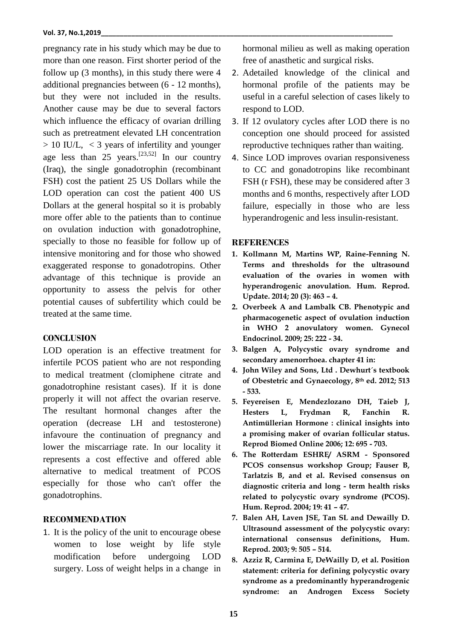pregnancy rate in his study which may be due to more than one reason. First shorter period of the follow up (3 months), in this study there were 4 additional pregnancies between (6 - 12 months), but they were not included in the results. Another cause may be due to several factors which influence the efficacy of ovarian drilling such as pretreatment elevated LH concentration > 10 IU/L, < 3 years of infertility and younger age less than 25 years.<sup>[23,52]</sup> In our country (Iraq), the single gonadotrophin (recombinant FSH) cost the patient 25 US Dollars while the LOD operation can cost the patient 400 US Dollars at the general hospital so it is probably more offer able to the patients than to continue on ovulation induction with gonadotrophine, specially to those no feasible for follow up of intensive monitoring and for those who showed exaggerated response to gonadotropins. Other advantage of this technique is provide an opportunity to assess the pelvis for other potential causes of subfertility which could be treated at the same time.

### **CONCLUSION**

LOD operation is an effective treatment for infertile PCOS patient who are not responding to medical treatment (clomiphene citrate and gonadotrophine resistant cases). If it is done properly it will not affect the ovarian reserve. The resultant hormonal changes after the operation (decrease LH and testosterone) infavoure the continuation of pregnancy and lower the miscarriage rate. In our locality it represents a cost effective and offered able alternative to medical treatment of PCOS especially for those who can't offer the gonadotrophins.

## **RECOMMENDATION**

1. It is the policy of the unit to encourage obese women to lose weight by life style modification before undergoing LOD surgery. Loss of weight helps in a change in

hormonal milieu as well as making operation free of anasthetic and surgical risks.

- 2. Adetailed knowledge of the clinical and hormonal profile of the patients may be useful in a careful selection of cases likely to respond to LOD.
- 3. If 12 ovulatory cycles after LOD there is no conception one should proceed for assisted reproductive techniques rather than waiting.
- 4. Since LOD improves ovarian responsiveness to CC and gonadotropins like recombinant FSH (r FSH), these may be considered after 3 months and 6 months, respectively after LOD failure, especially in those who are less hyperandrogenic and less insulin-resistant.

## **REFERENCES**

- **1. Kollmann M, Martins WP, Raine-Fenning N. Terms and thresholds for the ultrasound evaluation of the ovaries in women with hyperandrogenic anovulation. Hum. Reprod. Update. 2014; 20 (3): 463 – 4.**
- **2. Overbeek A and Lambalk CB. Phenotypic and pharmacogenetic aspect of ovulation induction in WHO 2 anovulatory women. Gynecol Endocrinol. 2009; 25: 222 - 34.**
- **3. Balgen A, Polycystic ovary syndrome and secondary amenorrhoea. chapter 41 in:**
- **4. John Wiley and Sons, Ltd . Dewhurt´s textbook of Obestetric and Gynaecology, 8th ed. 2012; 513 - 533.**
- **5. Feyereisen E, Mendezlozano DH, Taieb J, Hesters L, Frydman R, Fanchin R. Antimüllerian Hormone : clinical insights into a promising maker of ovarian follicular status. Reprod Biomed Online 2006; 12: 695 - 703.**
- **6. The Rotterdam ESHRE/ ASRM - Sponsored PCOS consensus workshop Group; Fauser B, Tarlatzis B, and et al. Revised consensus on diagnostic criteria and long - term health risks related to polycystic ovary syndrome (PCOS). Hum. Reprod. 2004; 19: 41 – 47.**
- **7. Balen AH, Laven JSE, Tan SL and Dewailly D. Ultrasound assessment of the polycystic ovary: international consensus definitions, Hum. Reprod. 2003; 9: 505 – 514.**
- **8. Azziz R, Carmina E, DeWailly D, et al. Position statement: criteria for defining polycystic ovary syndrome as a predominantly hyperandrogenic syndrome: an Androgen Excess Society**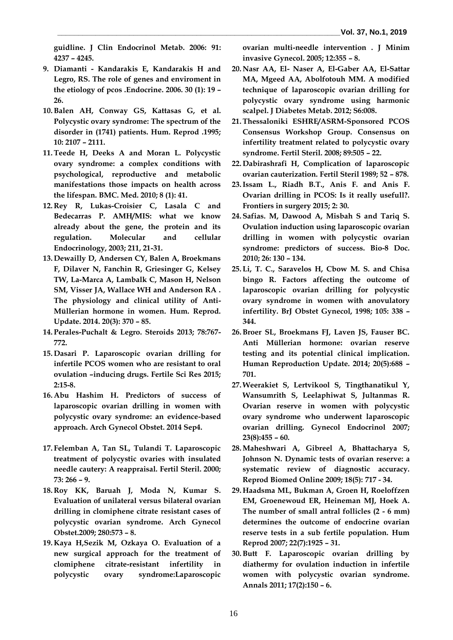**guidline. J Clin Endocrinol Metab. 2006: 91: 4237 – 4245.** 

- **9. Diamanti - Kandarakis E, Kandarakis H and Legro, RS. The role of genes and enviroment in the etiology of pcos .Endocrine. 2006. 30 (1): 19 – 26.**
- **10.Balen AH, Conway GS, Kattasas G, et al. Polycystic ovary syndrome: The spectrum of the disorder in (1741) patients. Hum. Reprod .1995; 10: 2107 – 2111.**
- **11.Teede H, Deeks A and Moran L. Polycystic ovary syndrome: a complex conditions with psychological, reproductive and metabolic manifestations those impacts on health across the lifespan. BMC. Med. 2010; 8 (1): 41.**
- **12. Rey R, Lukas-Croisier C, Lasala C and Bedecarras P. AMH/MIS: what we know already about the gene, the protein and its regulation. Molecular and cellular Endocrinology, 2003; 211, 21-31.**
- **13. Dewailly D, Andersen CY, Balen A, Broekmans F, Dilaver N, Fanchin R, Griesinger G, Kelsey TW, La-Marca A, Lambalk C, Mason H, Nelson SM, Visser JA, Wallace WH and Anderson RA . The physiology and clinical utility of Anti-Müllerian hormone in women. Hum. Reprod. Update. 2014. 20(3): 370 – 85.**
- **14. Perales-Puchalt & Legro. Steroids 2013; 78:767- 772.**
- **15. Dasari P. Laparoscopic ovarian drilling for infertile PCOS women who are resistant to oral ovulation –inducing drugs. Fertile Sci Res 2015; 2:15-8.**
- **16. Abu Hashim H. Predictors of success of laparoscopic ovarian drilling in women with polycystic ovary syndrome: an evidence-based approach. Arch Gynecol Obstet. 2014 Sep4.**
- **17. Felemban A, Tan SL, Tulandi T. Laparoscopic treatment of polycystic ovaries with insulated needle cautery: A reappraisal. Fertil Steril. 2000; 73: 266 – 9.**
- **18. Roy KK, Baruah J, Moda N, Kumar S. Evaluation of unilateral versus bilateral ovarian drilling in clomiphene citrate resistant cases of polycystic ovarian syndrome. Arch Gynecol Obstet.2009; 280:573 – 8.**
- **19. Kaya H,Sezik M, Ozkaya O. Evaluation of a new surgical approach for the treatment of clomiphene citrate-resistant infertility in polycystic ovary syndrome:Laparoscopic**

**ovarian multi-needle intervention . J Minim invasive Gynecol. 2005; 12:355 – 8.** 

- **20. Nasr AA, El- Naser A, El-Gaber AA, El-Sattar MA, Mgeed AA, Abolfotouh MM. A modified technique of laparoscopic ovarian drilling for polycystic ovary syndrome using harmonic scalpel. J Diabetes Metab. 2012; S6:008.**
- **21.Thessaloniki ESHRE/ASRM-Sponsored PCOS Consensus Workshop Group. Consensus on infertility treatment related to polycystic ovary syndrome. Fertil Steril. 2008; 89:505 – 22.**
- **22. Dabirashrafi H, Complication of laparoscopic ovarian cauterization. Fertil Steril 1989; 52 – 878.**
- **23.Issam L., Riadh B.T., Anis F. and Anis F. Ovarian drilling in PCOS: Is it really usefull?. Frontiers in surgery 2015; 2: 30.**
- **24. Safias. M, Dawood A, Misbah S and Tariq S. Ovulation induction using laparoscopic ovarian drilling in women with polycystic ovarian syndrome: predictors of success. Bio-8 Doc. 2010; 26: 130 – 134.**
- **25. Li, T. C., Saravelos H, Cbow M. S. and Chisa bingo R. Factors affecting the outcome of laparoscopic ovarian drilling for polycystic ovary syndrome in women with anovulatory infertility. BrJ Obstet Gynecol, 1998; 105: 338 – 344.**
- **26.Broer SL, Broekmans FJ, Laven JS, Fauser BC. Anti Müllerian hormone: ovarian reserve testing and its potential clinical implication. Human Reproduction Update. 2014; 20(5):688 – 701.**
- **27.Weerakiet S, Lertvikool S, Tingthanatikul Y, Wansumrith S, Leelaphiwat S, Jultanmas R. Ovarian reserve in women with polycystic ovary syndrome who underwent laparoscopic ovarian drilling. Gynecol Endocrinol 2007; 23(8):455 – 60.**
- **28.Maheshwari A, Gibreel A, Bhattacharya S, Johnson N. Dynamic tests of ovarian reserve: a systematic review of diagnostic accuracy. Reprod Biomed Online 2009; 18(5): 717 - 34.**
- **29. Haadsma ML, Bukman A, Groen H, Roeloffzen EM, Groenewoud ER, Heineman MJ, Hoek A. The number of small antral follicles (2 - 6 mm) determines the outcome of endocrine ovarian reserve tests in a sub fertile population. Hum Reprod 2007; 22(7):1925 – 31.**
- **30.Butt F. Laparoscopic ovarian drilling by diathermy for ovulation induction in infertile women with polycystic ovarian syndrome. Annals 2011; 17(2):150 – 6.**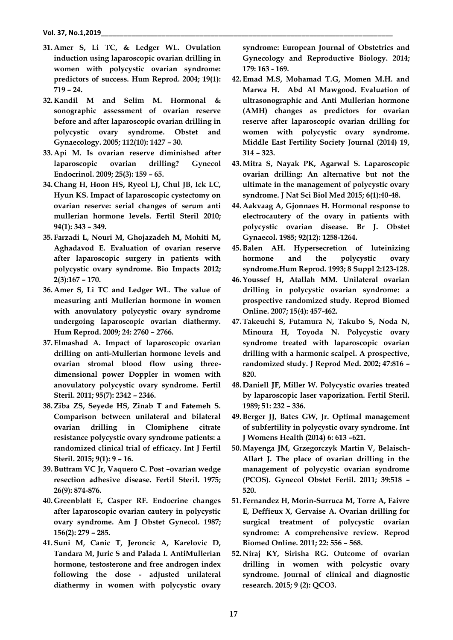- **31. Amer S, Li TC, & Ledger WL. Ovulation induction using laparoscopic ovarian drilling in women with polycystic ovarian syndrome: predictors of success. Hum Reprod. 2004; 19(1): 719 – 24.**
- **32. Kandil M and Selim M. Hormonal & sonographic assessment of ovarian reserve before and after laparoscopic ovarian drilling in polycystic ovary syndrome. Obstet and Gynaecology. 2005; 112(10): 1427 – 30.**
- **33. Api M. Is ovarian reserve diminished after laparoscopic ovarian drilling? Gynecol Endocrinol. 2009; 25(3): 159 – 65.**
- **34. Chang H, Hoon HS, Ryeol LJ, Chul JB, Ick LC, Hyun KS. Impact of laparoscopic cystectomy on ovarian reserve: serial changes of serum anti mullerian hormone levels. Fertil Steril 2010; 94(1): 343 – 349.**
- **35. Farzadi L, Nouri M, Ghojazadeh M, Mohiti M, Aghadavod E. Evaluation of ovarian reserve after laparoscopic surgery in patients with polycystic ovary syndrome. Bio Impacts 2012; 2(3):167 – 170.**
- **36. Amer S, Li TC and Ledger WL. The value of measuring anti Mullerian hormone in women with anovulatory polycystic ovary syndrome undergoing laparoscopic ovarian diathermy. Hum Reprod. 2009; 24: 2760 – 2766.**
- **37. Elmashad A. Impact of laparoscopic ovarian drilling on anti-Mullerian hormone levels and ovarian stromal blood flow using threedimensional power Doppler in women with anovulatory polycystic ovary syndrome. Fertil Steril. 2011; 95(7): 2342 – 2346.**
- **38.Ziba ZS, Seyede HS, Zinab T and Fatemeh S. Comparison between unilateral and bilateral ovarian drilling in Clomiphene citrate resistance polycystic ovary syndrome patients: a randomized clinical trial of efficacy. Int J Fertil Steril. 2015; 9(1): 9 – 16.**
- **39.Buttram VC Jr, Vaquero C. Post –ovarian wedge resection adhesive disease. Fertil Steril. 1975; 26(9): 874-876.**
- **40. Greenblatt E, Casper RF. Endocrine changes after laparoscopic ovarian cautery in polycystic ovary syndrome. Am J Obstet Gynecol. 1987; 156(2): 279 – 285.**
- **41. Suni M, Canic T, Jeroncic A, Karelovic D, Tandara M, Juric S and Palada I. AntiMullerian hormone, testosterone and free androgen index following the dose - adjusted unilateral diathermy in women with polycystic ovary**

**syndrome: European Journal of Obstetrics and Gynecology and Reproductive Biology. 2014; 179: 163 - 169.** 

- **42. Emad M.S, Mohamad T.G, Momen M.H. and Marwa H. Abd Al Mawgood. Evaluation of ultrasonographic and Anti Mullerian hormone (AMH) changes as predictors for ovarian reserve after laparoscopic ovarian drilling for women with polycystic ovary syndrome. Middle East Fertility Society Journal (2014) 19, 314 – 323.**
- **43.Mitra S, Nayak PK, Agarwal S. Laparoscopic ovarian drilling: An alternative but not the ultimate in the management of polycystic ovary syndrome. J Nat Sci Biol Med 2015; 6(1):40-48.**
- **44. Aakvaag A, Gjonnaes H. Hormonal response to electrocautery of the ovary in patients with polycystic ovarian disease. Br J. Obstet Gynaecol. 1985; 92(12): 1258-1264.**
- **45.Balen AH. Hypersecretion of luteinizing hormone and the polycystic ovary syndrome.Hum Reprod. 1993; 8 Suppl 2:123-128.**
- **46.Youssef H, Atallah MM. Unilateral ovarian drilling in polycystic ovarian syndrome: a prospective randomized study. Reprod Biomed Online. 2007; 15(4): 457-462.**
- **47.Takeuchi S, Futamura N, Takubo S, Noda N, Minoura H, Toyoda N. Polycystic ovary syndrome treated with laparoscopic ovarian drilling with a harmonic scalpel. A prospective, randomized study. J Reprod Med. 2002; 47:816 – 820.**
- **48. Daniell JF, Miller W. Polycystic ovaries treated by laparoscopic laser vaporization. Fertil Steril. 1989; 51: 232 – 336.**
- **49.Berger JJ, Bates GW, Jr. Optimal management of subfertility in polycystic ovary syndrome. Int J Womens Health (2014) 6: 613 –621.**
- **50.Mayenga JM, Grzegorczyk Martin V, Belaisch-Allart J. The place of ovarian drilling in the management of polycystic ovarian syndrome (PCOS). Gynecol Obstet Fertil. 2011; 39:518 – 520.**
- **51. Fernandez H, Morin-Surruca M, Torre A, Faivre E, Deffieux X, Gervaise A. Ovarian drilling for surgical treatment of polycystic ovarian syndrome: A comprehensive review. Reprod Biomed Online. 2011; 22: 556 – 568.**
- **52. Niraj KY, Sirisha RG. Outcome of ovarian drilling in women with polcystic ovary syndrome. Journal of clinical and diagnostic research. 2015; 9 (2): QCO3.**